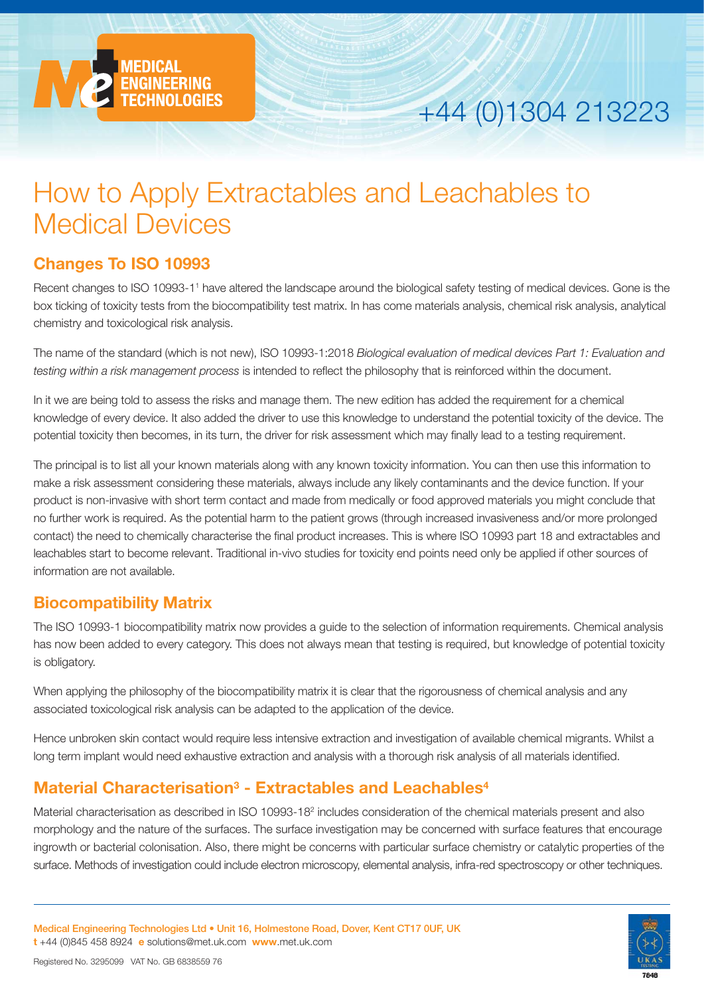

# +44 (0)1304 213223

## How to Apply Extractables and Leachables to Medical Devices

## **Changes To ISO 10993**

Recent changes to ISO 10993-11 have altered the landscape around the biological safety testing of medical devices. Gone is the box ticking of toxicity tests from the biocompatibility test matrix. In has come materials analysis, chemical risk analysis, analytical chemistry and toxicological risk analysis.

The name of the standard (which is not new), ISO 10993-1:2018 *Biological evaluation of medical devices Part 1: Evaluation and testing within a risk management process* is intended to reflect the philosophy that is reinforced within the document.

In it we are being told to assess the risks and manage them. The new edition has added the requirement for a chemical knowledge of every device. It also added the driver to use this knowledge to understand the potential toxicity of the device. The potential toxicity then becomes, in its turn, the driver for risk assessment which may finally lead to a testing requirement.

The principal is to list all your known materials along with any known toxicity information. You can then use this information to make a risk assessment considering these materials, always include any likely contaminants and the device function. If your product is non-invasive with short term contact and made from medically or food approved materials you might conclude that no further work is required. As the potential harm to the patient grows (through increased invasiveness and/or more prolonged contact) the need to chemically characterise the final product increases. This is where ISO 10993 part 18 and extractables and leachables start to become relevant. Traditional in-vivo studies for toxicity end points need only be applied if other sources of information are not available.

## **Biocompatibility Matrix**

The ISO 10993-1 biocompatibility matrix now provides a guide to the selection of information requirements. Chemical analysis has now been added to every category. This does not always mean that testing is required, but knowledge of potential toxicity is obligatory.

When applying the philosophy of the biocompatibility matrix it is clear that the rigorousness of chemical analysis and any associated toxicological risk analysis can be adapted to the application of the device.

Hence unbroken skin contact would require less intensive extraction and investigation of available chemical migrants. Whilst a long term implant would need exhaustive extraction and analysis with a thorough risk analysis of all materials identified.

## **Material Characterisation3 - Extractables and Leachables4**

Material characterisation as described in ISO 10993-182 includes consideration of the chemical materials present and also morphology and the nature of the surfaces. The surface investigation may be concerned with surface features that encourage ingrowth or bacterial colonisation. Also, there might be concerns with particular surface chemistry or catalytic properties of the surface. Methods of investigation could include electron microscopy, elemental analysis, infra-red spectroscopy or other techniques.

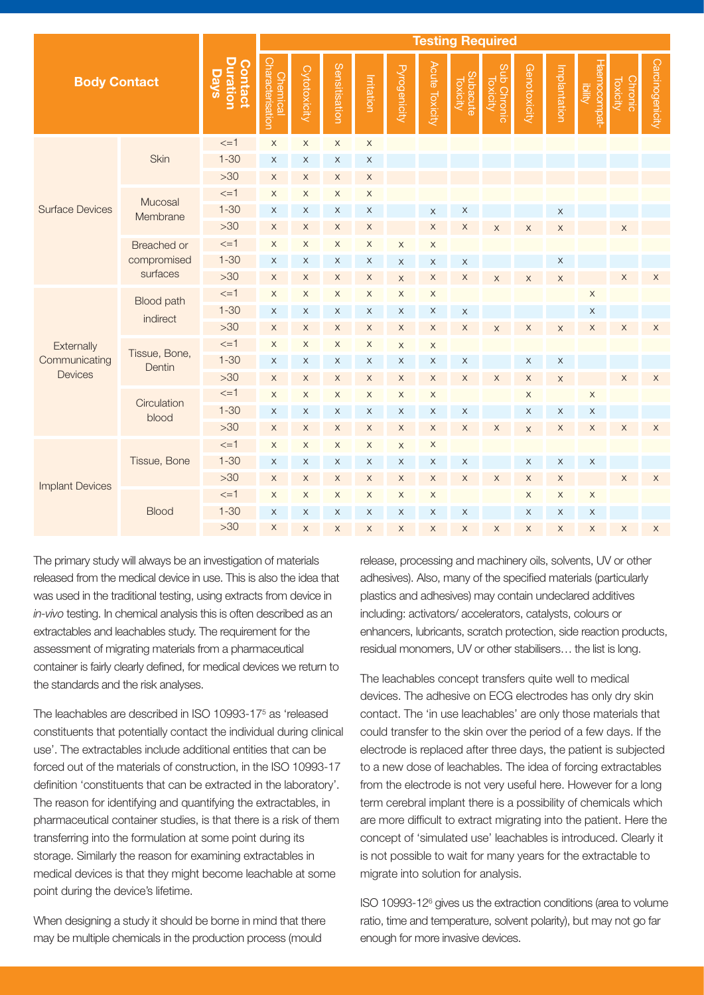| <b>Body Contact</b>                           |                                        |                                           | <b>Testing Required</b>                    |                           |                           |                           |                     |                           |                             |                           |                           |              |                                |                            |                 |
|-----------------------------------------------|----------------------------------------|-------------------------------------------|--------------------------------------------|---------------------------|---------------------------|---------------------------|---------------------|---------------------------|-----------------------------|---------------------------|---------------------------|--------------|--------------------------------|----------------------------|-----------------|
|                                               |                                        | <b>Duration</b><br>Contact<br><b>Days</b> | <b>Characterisation</b><br><b>Chemical</b> | Cytotoxicity              | Sensitisation             | Irritation                | <b>Pyrogenicity</b> | Acute Toxicity            | <b>Subacute</b><br>Toxicity | Sub Chronic<br>Toxicity   | Genotoxicity              | Implantation | Haemocompat-<br><b>Ibility</b> | Chronic<br><b>Toxicity</b> | Carcinogenicity |
| <b>Surface Devices</b>                        | Skin                                   | $\leq$ =1                                 | $\mathsf X$                                | $\mathsf X$               | $\mathsf X$               | $\mathsf X$               |                     |                           |                             |                           |                           |              |                                |                            |                 |
|                                               |                                        | $1 - 30$                                  | $\mathsf X$                                | $\mathsf X$               | X                         | $\boldsymbol{\mathsf{X}}$ |                     |                           |                             |                           |                           |              |                                |                            |                 |
|                                               |                                        | $>30$                                     | $\mathsf X$                                | $\mathsf X$               | $\mathsf X$               | $\mathsf X$               |                     |                           |                             |                           |                           |              |                                |                            |                 |
|                                               | Mucosal<br>Membrane                    | $\leq$ =1                                 | $\mathsf X$                                | $\mathsf X$               | $\mathsf X$               | $\mathsf X$               |                     |                           |                             |                           |                           |              |                                |                            |                 |
|                                               |                                        | $1 - 30$                                  | $\mathsf X$                                | $\mathsf X$               | $\mathsf X$               | $\boldsymbol{\mathsf{X}}$ |                     | $\times$                  | $\mathsf X$                 |                           |                           | $\mathsf X$  |                                |                            |                 |
|                                               |                                        | $>30$                                     | $\mathsf X$                                | $\mathsf X$               | $\mathsf X$               | $\boldsymbol{\mathsf{X}}$ |                     | X                         | X                           | $\times$                  | X                         | $\mathsf X$  |                                | $\mathsf X$                |                 |
|                                               | Breached or<br>compromised<br>surfaces | $\leq$ =1                                 | $\mathsf X$                                | $\mathsf X$               | $\mathsf X$               | $\boldsymbol{\mathsf{X}}$ | $\mathsf X$         | $\mathsf X$               |                             |                           |                           |              |                                |                            |                 |
|                                               |                                        | $1 - 30$                                  | $\mathsf X$                                | X                         | X                         | $\mathsf X$               | X                   | $\mathsf X$               | $\mathsf X$                 |                           |                           | X            |                                |                            |                 |
|                                               |                                        | $>30$                                     | $\mathsf X$                                | $\mathsf X$               | $\mathsf X$               | $\boldsymbol{\mathsf{X}}$ | $\mathsf{X}% _{0}$  | $\boldsymbol{\mathsf{X}}$ | $\mathsf X$                 | $\times$                  | $\mathsf X$               | $\times$     |                                | $\mathsf X$                | $\mathsf X$     |
| Externally<br>Communicating<br><b>Devices</b> | <b>Blood path</b><br>indirect          | $\leq$ =1                                 | $\mathsf X$                                | $\mathsf X$               | $\mathsf X$               | $\mathsf X$               | $\mathsf X$         | $\mathsf X$               |                             |                           |                           |              | $\mathsf X$                    |                            |                 |
|                                               |                                        | $1 - 30$                                  | $\mathsf X$                                | $\mathsf X$               | $\mathsf X$               | $\mathsf X$               | X                   | $\mathsf X$               | $\mathsf X$                 |                           |                           |              | $\mathsf X$                    |                            |                 |
|                                               |                                        | $>30$                                     | $\mathsf X$                                | $\mathsf X$               | X                         | $\boldsymbol{\mathsf{X}}$ | X                   | $\mathsf X$               | $\mathsf X$                 | $\times$                  | $\mathsf X$               | $\mathsf X$  | $\mathsf X$                    | $\mathsf X$                | $\mathsf X$     |
|                                               | Tissue, Bone,<br>Dentin                | $\leq$ =1                                 | $\mathsf X$                                | $\mathsf X$               | X                         | $\mathsf X$               | $\mathsf X$         | $\mathsf X$               |                             |                           |                           |              |                                |                            |                 |
|                                               |                                        | $1 - 30$                                  | $\mathsf X$                                | $\mathsf X$               | X                         | X                         | $\times$            | $\mathsf X$               | $\mathsf X$                 |                           | $\mathsf X$               | $\mathsf X$  |                                |                            |                 |
|                                               |                                        | $>30$                                     | $\mathsf X$                                | $\mathsf X$               | $\mathsf X$               | X                         | $\mathsf X$         | $\mathsf X$               | $\mathsf X$                 | $\mathsf X$               | X                         | $\mathsf X$  |                                | $\mathsf X$                | $\mathsf X$     |
|                                               | Circulation<br>blood                   | $\leq$ =1                                 | $\mathsf X$                                | $\mathsf X$               | $\mathsf X$               | $\mathsf X$               | $\mathsf X$         | $\mathsf X$               |                             |                           | $\mathsf X$               |              | $\mathsf X$                    |                            |                 |
|                                               |                                        | $1 - 30$                                  | X                                          | X                         | X                         | X                         | X                   | X                         | X                           |                           | X                         | $\mathsf X$  | X                              |                            |                 |
|                                               |                                        | $>30$                                     | $\mathsf X$                                | $\mathsf X$               | X                         | $\mathsf X$               | $\mathsf X$         | $\mathsf X$               | $\boldsymbol{\mathsf{X}}$   | $\boldsymbol{\mathsf{X}}$ | $\mathsf X$               | X            | $\mathsf X$                    | $\mathsf X$                | $\mathsf X$     |
| <b>Implant Devices</b>                        | Tissue, Bone                           | $\leq$ =1                                 | X                                          | X                         | X                         | X                         | $\times$            | $\mathsf X$               |                             |                           |                           |              |                                |                            |                 |
|                                               |                                        | $1 - 30$                                  | $\mathsf X$                                | $\mathsf X$               | $\mathsf X$               | $\mathsf X$               | $\mathsf X$         | $\mathsf X$               | X                           |                           | $\mathsf X$               | $\mathsf X$  | $\boldsymbol{\mathsf{X}}$      |                            |                 |
|                                               |                                        | $>30$                                     | $\mathsf X$                                | $\mathsf X$               | X                         | $\mathsf X$               | $\mathsf X$         | $\mathsf X$               | $\mathsf X$                 | $\mathsf X$               | X                         | $\mathsf X$  |                                | $\mathsf X$                | $\mathsf X$     |
|                                               | <b>Blood</b>                           | $\leq$ =1                                 | $\mathsf X$                                | $\mathsf X$               | $\mathsf X$               | $\mathsf X$               | $\mathsf X$         | $\mathsf X$               |                             |                           | $\mathsf X$               | $\mathsf X$  | $\mathsf X$                    |                            |                 |
|                                               |                                        | $1 - 30$                                  | $\mathsf X$                                | $\mathsf X$               | X                         | $\boldsymbol{\mathsf{X}}$ | X                   | X                         | X                           |                           | X                         | X            | $\boldsymbol{\mathsf{X}}$      |                            |                 |
|                                               |                                        | $>30$                                     | $\mathsf X$                                | $\boldsymbol{\mathsf{X}}$ | $\boldsymbol{\mathsf{X}}$ | $\boldsymbol{\mathsf{X}}$ | X                   | X                         | $\mathsf X$                 | $\mathsf X$               | $\boldsymbol{\mathsf{X}}$ | $\mathsf X$  | $\mathsf X$                    | $\mathsf X$                | $\mathsf X$     |

The primary study will always be an investigation of materials released from the medical device in use. This is also the idea that was used in the traditional testing, using extracts from device in *in-vivo* testing. In chemical analysis this is often described as an extractables and leachables study. The requirement for the assessment of migrating materials from a pharmaceutical container is fairly clearly defined, for medical devices we return to the standards and the risk analyses.

The leachables are described in ISO 10993-175 as 'released constituents that potentially contact the individual during clinical use'. The extractables include additional entities that can be forced out of the materials of construction, in the ISO 10993-17 definition 'constituents that can be extracted in the laboratory'. The reason for identifying and quantifying the extractables, in pharmaceutical container studies, is that there is a risk of them transferring into the formulation at some point during its storage. Similarly the reason for examining extractables in medical devices is that they might become leachable at some point during the device's lifetime.

When designing a study it should be borne in mind that there may be multiple chemicals in the production process (mould

release, processing and machinery oils, solvents, UV or other adhesives). Also, many of the specified materials (particularly plastics and adhesives) may contain undeclared additives including: activators/ accelerators, catalysts, colours or enhancers, lubricants, scratch protection, side reaction products, residual monomers, UV or other stabilisers… the list is long.

The leachables concept transfers quite well to medical devices. The adhesive on ECG electrodes has only dry skin contact. The 'in use leachables' are only those materials that could transfer to the skin over the period of a few days. If the electrode is replaced after three days, the patient is subjected to a new dose of leachables. The idea of forcing extractables from the electrode is not very useful here. However for a long term cerebral implant there is a possibility of chemicals which are more difficult to extract migrating into the patient. Here the concept of 'simulated use' leachables is introduced. Clearly it is not possible to wait for many years for the extractable to migrate into solution for analysis.

ISO 10993-126 gives us the extraction conditions (area to volume ratio, time and temperature, solvent polarity), but may not go far enough for more invasive devices.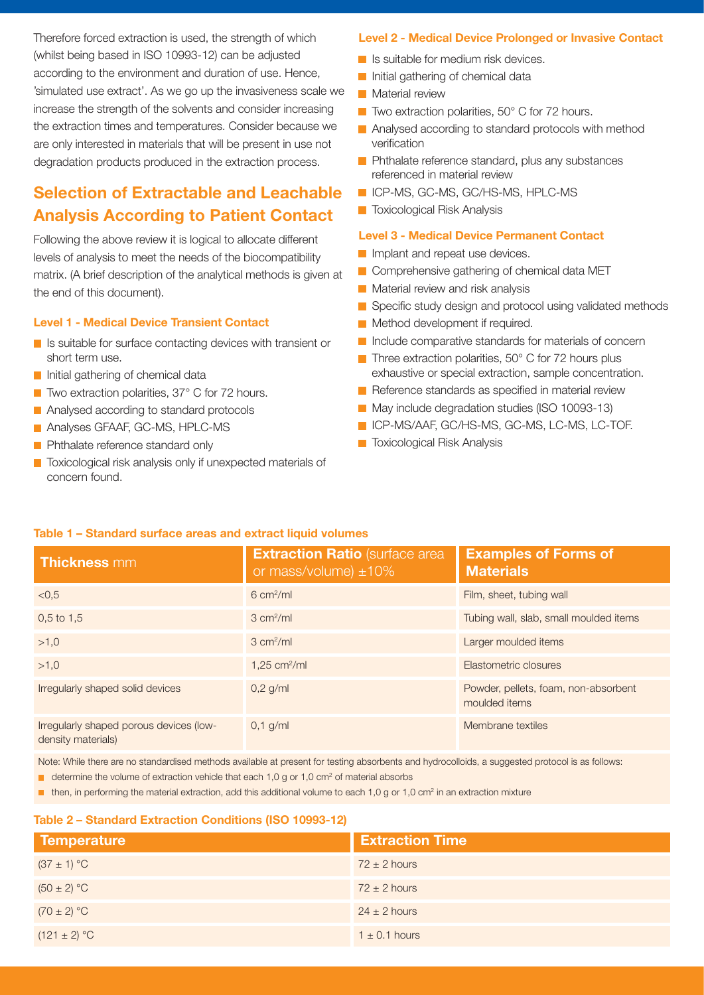Therefore forced extraction is used, the strength of which (whilst being based in ISO 10993-12) can be adjusted according to the environment and duration of use. Hence, 'simulated use extract'. As we go up the invasiveness scale we increase the strength of the solvents and consider increasing the extraction times and temperatures. Consider because we are only interested in materials that will be present in use not degradation products produced in the extraction process.

## **Selection of Extractable and Leachable Analysis According to Patient Contact**

Following the above review it is logical to allocate different levels of analysis to meet the needs of the biocompatibility matrix. (A brief description of the analytical methods is given at the end of this document).

### **Level 1 - Medical Device Transient Contact**

- Is suitable for surface contacting devices with transient or short term use.
- **Initial gathering of chemical data**
- Two extraction polarities, 37° C for 72 hours.
- **Analysed according to standard protocols**
- **Analyses GFAAF, GC-MS, HPLC-MS**
- **Phthalate reference standard only**
- Toxicological risk analysis only if unexpected materials of concern found.

### **Level 2 - Medical Device Prolonged or Invasive Contact**

- **Is suitable for medium risk devices.**
- **Initial gathering of chemical data**
- **Material review**
- $\blacksquare$  Two extraction polarities, 50 $^{\circ}$  C for 72 hours.
- **Analysed according to standard protocols with method** verification
- **Phthalate reference standard, plus any substances** referenced in material review
- ICP-MS, GC-MS, GC/HS-MS, HPLC-MS
- **T** Toxicological Risk Analysis

#### **Level 3 - Medical Device Permanent Contact**

- **Implant and repeat use devices.**
- Comprehensive gathering of chemical data MET
- **Material review and risk analysis**
- Specific study design and protocol using validated methods
- **Method development if required.**
- Include comparative standards for materials of concern
- $\blacksquare$  Three extraction polarities, 50 $^{\circ}$  C for 72 hours plus exhaustive or special extraction, sample concentration.
- Reference standards as specified in material review
- May include degradation studies (ISO 10093-13)
- **IN ICP-MS/AAF, GC/HS-MS, GC-MS, LC-MS, LC-TOF.**
- **T** Toxicological Risk Analysis

#### **Table 1 – Standard surface areas and extract liquid volumes**

| <b>Thickness mm</b>                                           | <b>Extraction Ratio (surface area)</b><br>or mass/volume) $\pm 10\%$ | <b>Examples of Forms of</b><br><b>Materials</b>       |
|---------------------------------------------------------------|----------------------------------------------------------------------|-------------------------------------------------------|
| < 0.5                                                         | $6 \text{ cm}^2/\text{ml}$                                           | Film, sheet, tubing wall                              |
| $0.5$ to 1.5                                                  | $3 \text{ cm}^2/\text{ml}$                                           | Tubing wall, slab, small moulded items                |
| >1,0                                                          | $3 \text{ cm}^2/\text{ml}$                                           | Larger moulded items                                  |
| >1.0                                                          | $1,25$ cm <sup>2</sup> /ml                                           | Elastometric closures                                 |
| Irregularly shaped solid devices                              | $0,2$ g/ml                                                           | Powder, pellets, foam, non-absorbent<br>moulded items |
| Irregularly shaped porous devices (low-<br>density materials) | $0,1$ g/ml                                                           | Membrane textiles                                     |

Note: While there are no standardised methods available at present for testing absorbents and hydrocolloids, a suggested protocol is as follows:

- $\blacksquare$  determine the volume of extraction vehicle that each 1,0 g or 1,0 cm<sup>2</sup> of material absorbs
- $\blacksquare$  then, in performing the material extraction, add this additional volume to each 1,0 g or 1,0 cm<sup>2</sup> in an extraction mixture

## **Table 2 – Standard Extraction Conditions (ISO 10993-12)**

| Temperature      | <b>Extraction Time</b> |
|------------------|------------------------|
| $(37 \pm 1)$ °C  | $72 \pm 2$ hours       |
| $(50 \pm 2) °C$  | $72 \pm 2$ hours       |
| $(70 \pm 2) °C$  | $24 \pm 2$ hours       |
| $(121 \pm 2) °C$ | $1 \pm 0.1$ hours      |